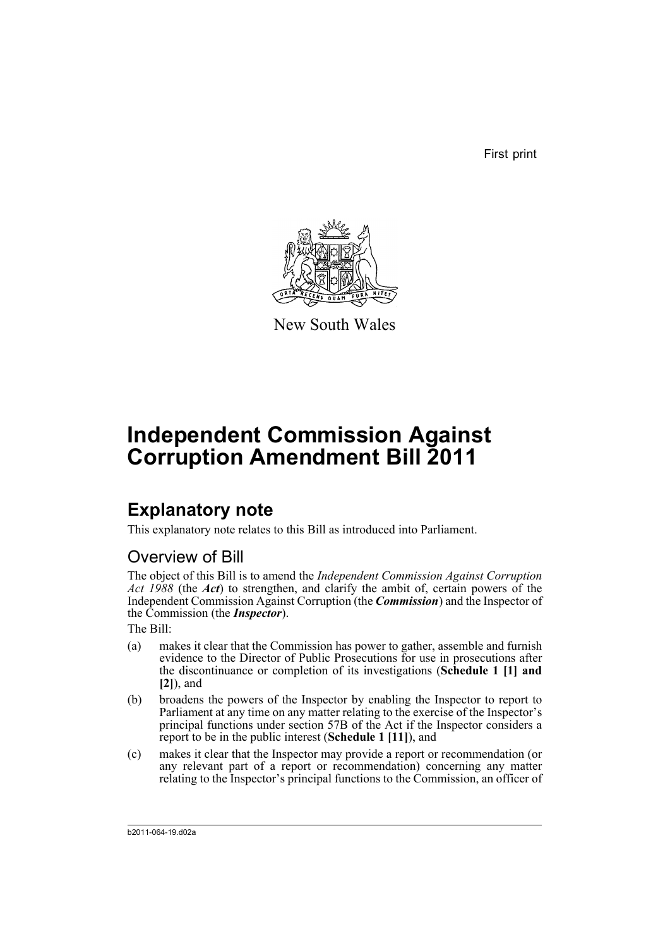First print



New South Wales

# **Independent Commission Against Corruption Amendment Bill 2011**

## **Explanatory note**

This explanatory note relates to this Bill as introduced into Parliament.

## Overview of Bill

The object of this Bill is to amend the *Independent Commission Against Corruption Act 1988* (the *Act*) to strengthen, and clarify the ambit of, certain powers of the Independent Commission Against Corruption (the *Commission*) and the Inspector of the Commission (the *Inspector*).

The Bill:

- (a) makes it clear that the Commission has power to gather, assemble and furnish evidence to the Director of Public Prosecutions for use in prosecutions after the discontinuance or completion of its investigations (**Schedule 1 [1] and [2]**), and
- (b) broadens the powers of the Inspector by enabling the Inspector to report to Parliament at any time on any matter relating to the exercise of the Inspector's principal functions under section 57B of the Act if the Inspector considers a report to be in the public interest (**Schedule 1 [11]**), and
- (c) makes it clear that the Inspector may provide a report or recommendation (or any relevant part of a report or recommendation) concerning any matter relating to the Inspector's principal functions to the Commission, an officer of

b2011-064-19.d02a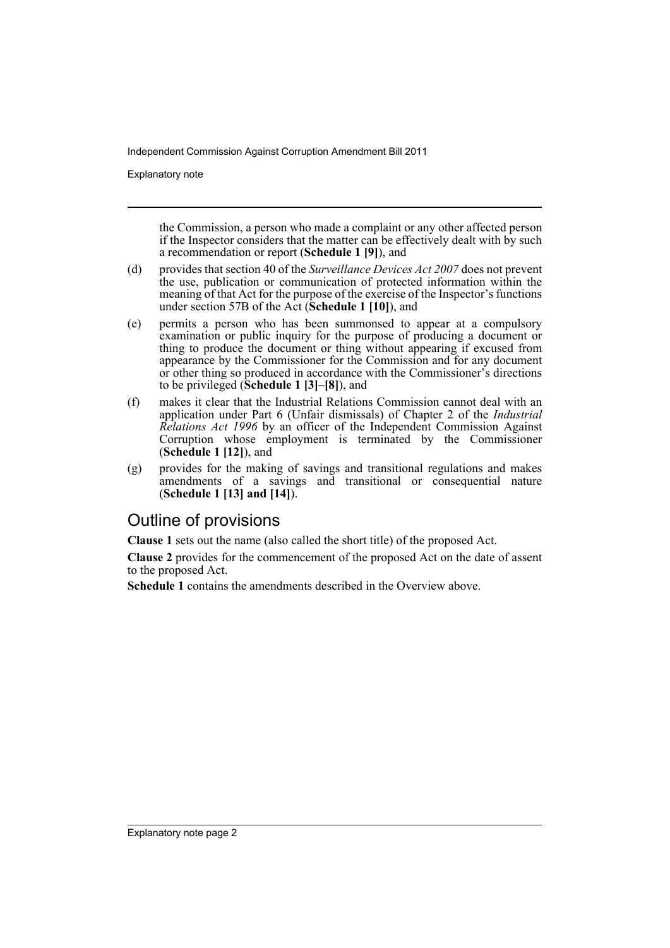Explanatory note

the Commission, a person who made a complaint or any other affected person if the Inspector considers that the matter can be effectively dealt with by such a recommendation or report (**Schedule 1 [9]**), and

- (d) provides that section 40 of the *Surveillance Devices Act 2007* does not prevent the use, publication or communication of protected information within the meaning of that Act for the purpose of the exercise of the Inspector's functions under section 57B of the Act (**Schedule 1 [10]**), and
- (e) permits a person who has been summonsed to appear at a compulsory examination or public inquiry for the purpose of producing a document or thing to produce the document or thing without appearing if excused from appearance by the Commissioner for the Commission and for any document or other thing so produced in accordance with the Commissioner's directions to be privileged (**Schedule 1 [3]–[8]**), and
- (f) makes it clear that the Industrial Relations Commission cannot deal with an application under Part 6 (Unfair dismissals) of Chapter 2 of the *Industrial Relations Act 1996* by an officer of the Independent Commission Against Corruption whose employment is terminated by the Commissioner (**Schedule 1 [12]**), and
- (g) provides for the making of savings and transitional regulations and makes amendments of a savings and transitional or consequential nature (**Schedule 1 [13] and [14]**).

## Outline of provisions

**Clause 1** sets out the name (also called the short title) of the proposed Act.

**Clause 2** provides for the commencement of the proposed Act on the date of assent to the proposed Act.

**Schedule 1** contains the amendments described in the Overview above.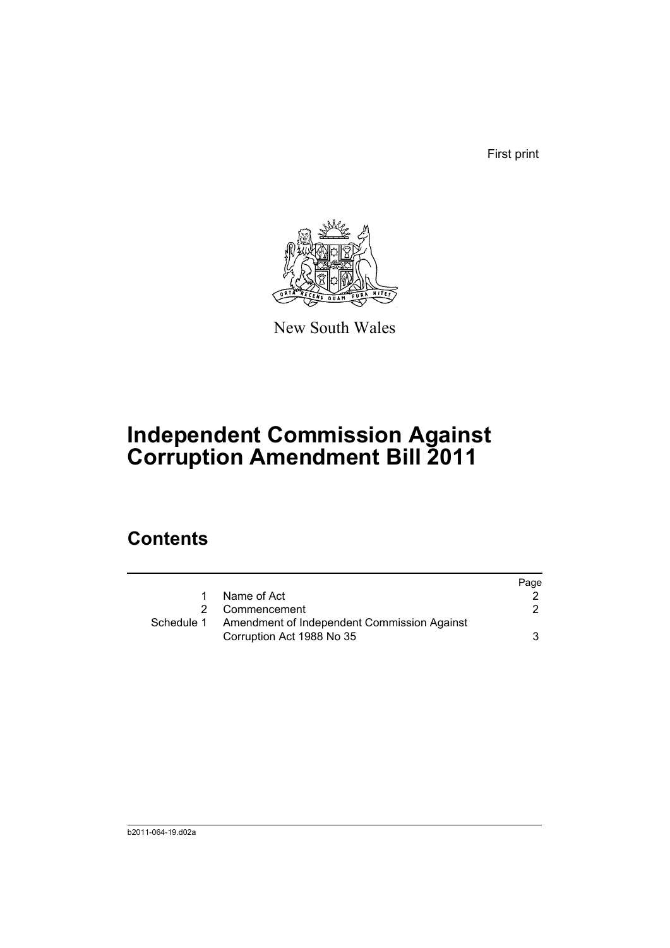First print



New South Wales

# **Independent Commission Against Corruption Amendment Bill 2011**

## **Contents**

|            |                                                                          | Page |
|------------|--------------------------------------------------------------------------|------|
| 1.         | Name of Act                                                              |      |
|            | 2 Commencement                                                           | 2    |
| Schedule 1 | Amendment of Independent Commission Against<br>Corruption Act 1988 No 35 | 3    |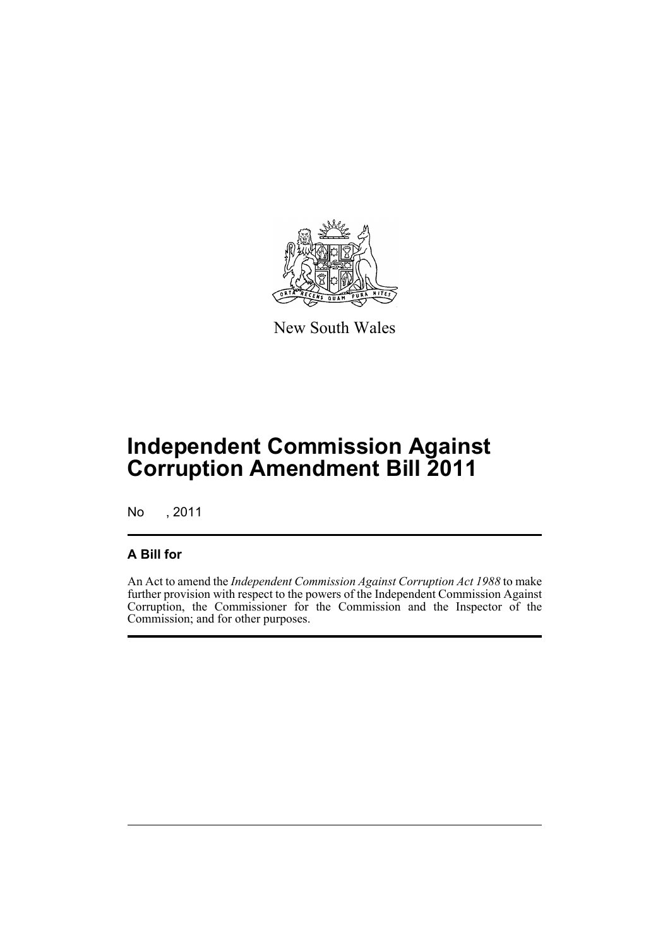

New South Wales

# **Independent Commission Against Corruption Amendment Bill 2011**

No , 2011

## **A Bill for**

An Act to amend the *Independent Commission Against Corruption Act 1988* to make further provision with respect to the powers of the Independent Commission Against Corruption, the Commissioner for the Commission and the Inspector of the Commission; and for other purposes.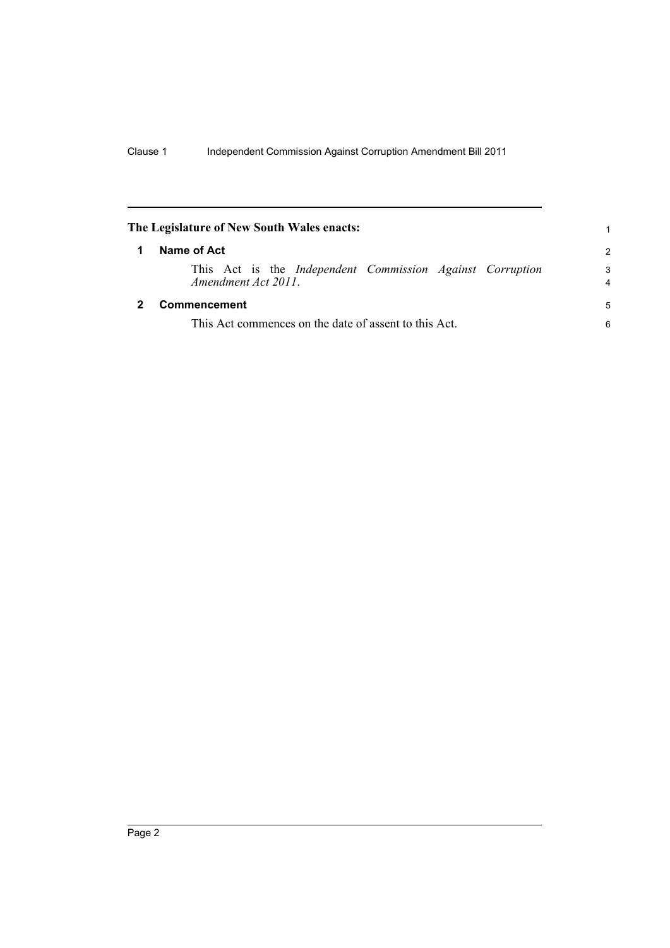<span id="page-5-1"></span><span id="page-5-0"></span>

| The Legislature of New South Wales enacts: |                                                                                         |                     |  |  |
|--------------------------------------------|-----------------------------------------------------------------------------------------|---------------------|--|--|
|                                            | Name of Act                                                                             | $\mathcal{P}$       |  |  |
|                                            | This Act is the <i>Independent Commission Against Corruption</i><br>Amendment Act 2011. | 3<br>$\overline{4}$ |  |  |
|                                            | Commencement                                                                            | 5                   |  |  |
|                                            | This Act commences on the date of assent to this Act.                                   |                     |  |  |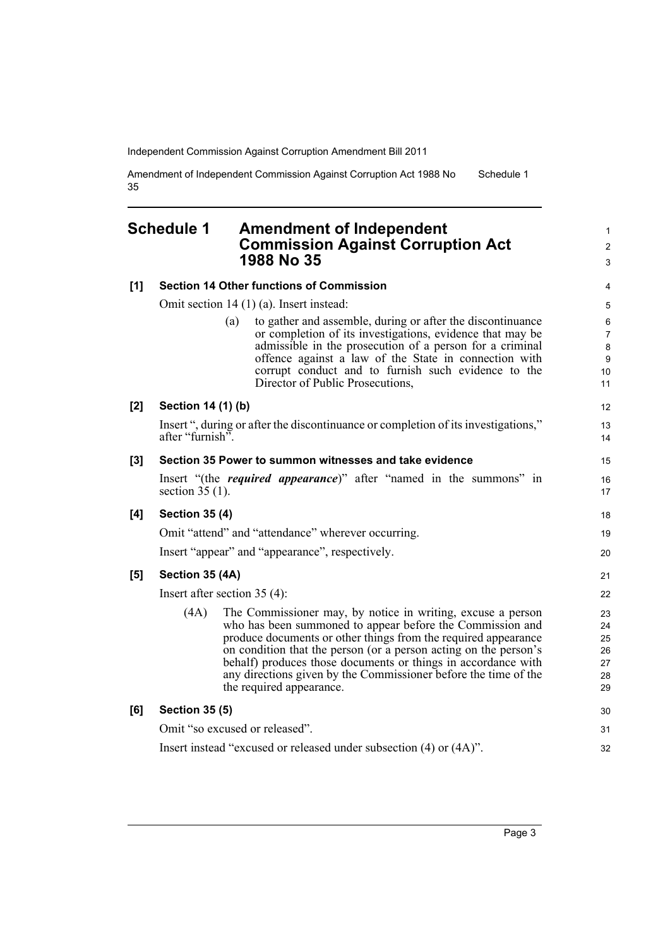Amendment of Independent Commission Against Corruption Act 1988 No 35 Schedule 1

## <span id="page-6-0"></span>**Schedule 1 Amendment of Independent Commission Against Corruption Act 1988 No 35**

| [1]   | <b>Section 14 Other functions of Commission</b>                    |                                                                                                                                                                                                                                                                                                                                                                                                                                | 4                                                        |
|-------|--------------------------------------------------------------------|--------------------------------------------------------------------------------------------------------------------------------------------------------------------------------------------------------------------------------------------------------------------------------------------------------------------------------------------------------------------------------------------------------------------------------|----------------------------------------------------------|
|       | Omit section $14(1)(a)$ . Insert instead:                          |                                                                                                                                                                                                                                                                                                                                                                                                                                |                                                          |
|       |                                                                    | to gather and assemble, during or after the discontinuance<br>(a)<br>or completion of its investigations, evidence that may be<br>admissible in the prosecution of a person for a criminal<br>offence against a law of the State in connection with<br>corrupt conduct and to furnish such evidence to the<br>Director of Public Prosecutions,                                                                                 | 6<br>$\overline{7}$<br>8<br>$\boldsymbol{9}$<br>10<br>11 |
| $[2]$ | Section 14 (1) (b)                                                 |                                                                                                                                                                                                                                                                                                                                                                                                                                | 12                                                       |
|       | after "furnish".                                                   | Insert ", during or after the discontinuance or completion of its investigations,"                                                                                                                                                                                                                                                                                                                                             | 13<br>14                                                 |
| [3]   |                                                                    | Section 35 Power to summon witnesses and take evidence                                                                                                                                                                                                                                                                                                                                                                         | 15                                                       |
|       | section $35(1)$ .                                                  | Insert "(the <i>required appearance</i> )" after "named in the summons" in                                                                                                                                                                                                                                                                                                                                                     | 16<br>17                                                 |
| [4]   | <b>Section 35 (4)</b>                                              |                                                                                                                                                                                                                                                                                                                                                                                                                                | 18                                                       |
|       | Omit "attend" and "attendance" wherever occurring.                 |                                                                                                                                                                                                                                                                                                                                                                                                                                |                                                          |
|       | Insert "appear" and "appearance", respectively.                    |                                                                                                                                                                                                                                                                                                                                                                                                                                |                                                          |
| [5]   | Section 35 (4A)                                                    |                                                                                                                                                                                                                                                                                                                                                                                                                                | 21                                                       |
|       | Insert after section $35(4)$ :                                     |                                                                                                                                                                                                                                                                                                                                                                                                                                |                                                          |
|       | (4A)                                                               | The Commissioner may, by notice in writing, excuse a person<br>who has been summoned to appear before the Commission and<br>produce documents or other things from the required appearance<br>on condition that the person (or a person acting on the person's<br>behalf) produces those documents or things in accordance with<br>any directions given by the Commissioner before the time of the<br>the required appearance. | 23<br>24<br>25<br>26<br>27<br>28<br>29                   |
| [6]   | <b>Section 35 (5)</b>                                              |                                                                                                                                                                                                                                                                                                                                                                                                                                | 30                                                       |
|       | Omit "so excused or released".                                     |                                                                                                                                                                                                                                                                                                                                                                                                                                |                                                          |
|       | Insert instead "excused or released under subsection (4) or (4A)". |                                                                                                                                                                                                                                                                                                                                                                                                                                |                                                          |

1 2 3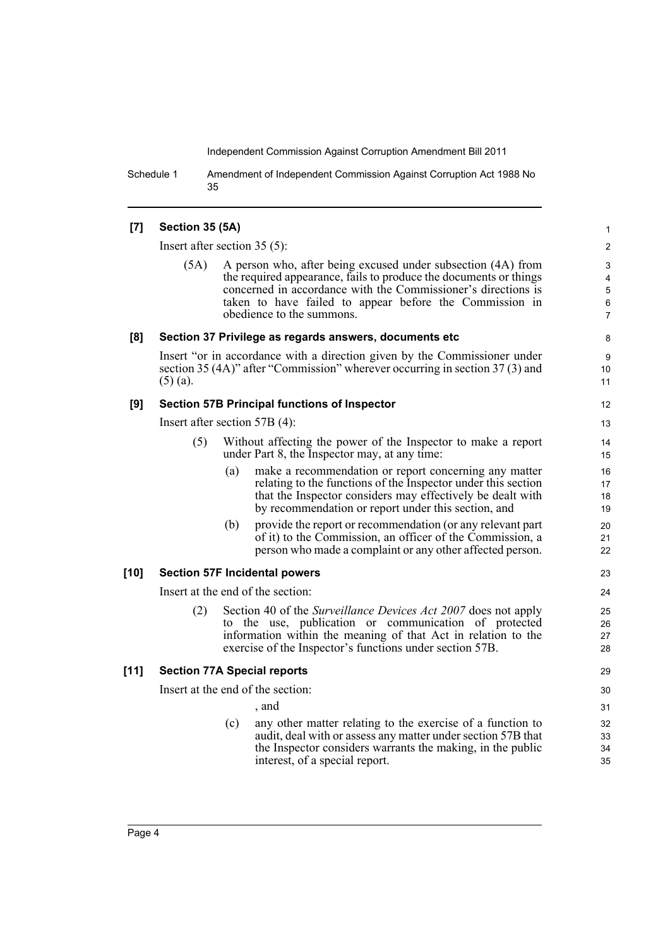Schedule 1 Amendment of Independent Commission Against Corruption Act 1988 No 35

### **[7] Section 35 (5A)**

Insert after section 35 (5):

(5A) A person who, after being excused under subsection (4A) from the required appearance, fails to produce the documents or things concerned in accordance with the Commissioner's directions is taken to have failed to appear before the Commission in obedience to the summons.

#### **[8] Section 37 Privilege as regards answers, documents etc**

Insert "or in accordance with a direction given by the Commissioner under section 35 (4A)" after "Commission" wherever occurring in section 37 (3) and (5) (a).

#### **[9] Section 57B Principal functions of Inspector**

Insert after section 57B (4):

- (5) Without affecting the power of the Inspector to make a report under Part 8, the Inspector may, at any time:
	- (a) make a recommendation or report concerning any matter relating to the functions of the Inspector under this section that the Inspector considers may effectively be dealt with by recommendation or report under this section, and
	- (b) provide the report or recommendation (or any relevant part of it) to the Commission, an officer of the Commission, a person who made a complaint or any other affected person.

### **[10] Section 57F Incidental powers**

Insert at the end of the section:

(2) Section 40 of the *Surveillance Devices Act 2007* does not apply to the use, publication or communication of protected information within the meaning of that Act in relation to the exercise of the Inspector's functions under section 57B.

### **[11] Section 77A Special reports**

Insert at the end of the section:

- , and
- (c) any other matter relating to the exercise of a function to audit, deal with or assess any matter under section 57B that the Inspector considers warrants the making, in the public interest, of a special report.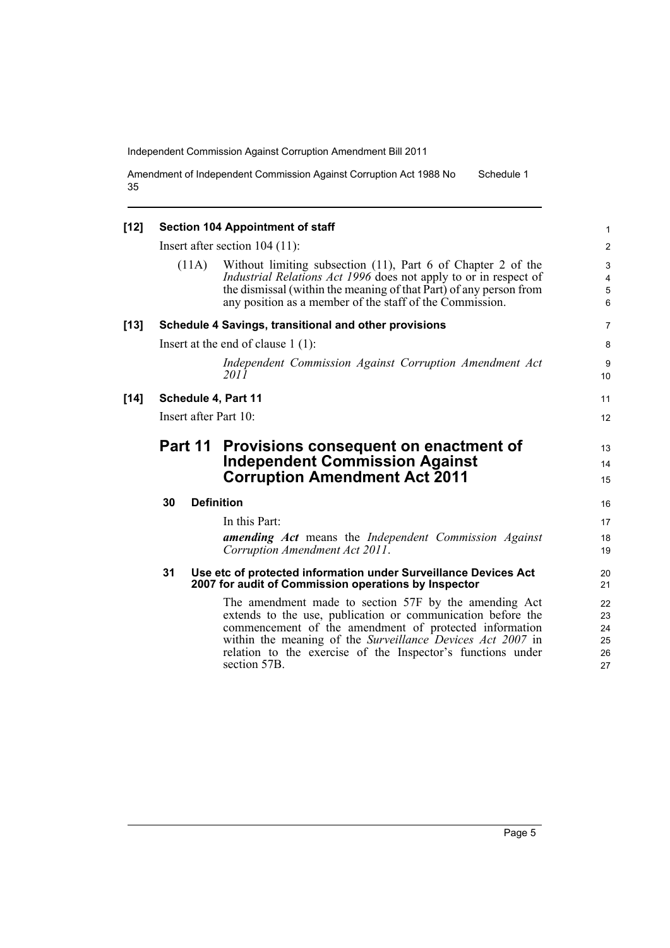Amendment of Independent Commission Against Corruption Act 1988 No 35 Schedule 1

| $[12]$ | <b>Section 104 Appointment of staff</b> |       | $\mathbf{1}$                                                                                                                                                                                                                                                                                                                |                                  |
|--------|-----------------------------------------|-------|-----------------------------------------------------------------------------------------------------------------------------------------------------------------------------------------------------------------------------------------------------------------------------------------------------------------------------|----------------------------------|
|        | Insert after section $104(11)$ :        |       |                                                                                                                                                                                                                                                                                                                             | $\overline{2}$                   |
|        |                                         | (11A) | Without limiting subsection (11), Part 6 of Chapter 2 of the<br>Industrial Relations Act 1996 does not apply to or in respect of<br>the dismissal (within the meaning of that Part) of any person from<br>any position as a member of the staff of the Commission.                                                          | 3<br>4<br>$\mathbf 5$<br>6       |
| $[13]$ |                                         |       | Schedule 4 Savings, transitional and other provisions                                                                                                                                                                                                                                                                       | $\overline{7}$                   |
|        | Insert at the end of clause $1(1)$ :    |       |                                                                                                                                                                                                                                                                                                                             | 8                                |
|        |                                         |       | Independent Commission Against Corruption Amendment Act<br>2011                                                                                                                                                                                                                                                             | 9<br>10                          |
| $[14]$ | Schedule 4, Part 11                     |       | 11                                                                                                                                                                                                                                                                                                                          |                                  |
|        | Insert after Part 10:                   |       | 12                                                                                                                                                                                                                                                                                                                          |                                  |
|        | Part 11                                 |       | Provisions consequent on enactment of<br><b>Independent Commission Against</b><br><b>Corruption Amendment Act 2011</b>                                                                                                                                                                                                      | 13<br>14<br>15                   |
|        | 30                                      |       | <b>Definition</b>                                                                                                                                                                                                                                                                                                           | 16                               |
|        |                                         |       | In this Part:                                                                                                                                                                                                                                                                                                               | 17                               |
|        |                                         |       | amending Act means the Independent Commission Against<br>Corruption Amendment Act 2011.                                                                                                                                                                                                                                     | 18<br>19                         |
|        | 31                                      |       | Use etc of protected information under Surveillance Devices Act<br>2007 for audit of Commission operations by Inspector                                                                                                                                                                                                     | 20<br>21                         |
|        |                                         |       | The amendment made to section 57F by the amending Act<br>extends to the use, publication or communication before the<br>commencement of the amendment of protected information<br>within the meaning of the Surveillance Devices Act 2007 in<br>relation to the exercise of the Inspector's functions under<br>section 57B. | 22<br>23<br>24<br>25<br>26<br>27 |